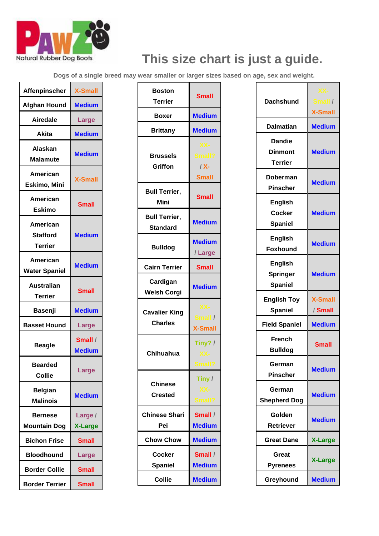

## **This size chart is just a guide.**

**Dogs of a single breed may wear smaller or larger sizes based on age, sex and weight.**

| <b>Affenpinscher</b>                                 | <b>X-Small</b>            |
|------------------------------------------------------|---------------------------|
| <b>Afghan Hound</b>                                  | <b>Medium</b>             |
| <b>Airedale</b>                                      | Large                     |
| Akita                                                | <b>Medium</b>             |
| Alaskan<br><b>Malamute</b>                           | <b>Medium</b>             |
| American<br>Eskimo, Mini                             | <b>X-Small</b>            |
| American<br><b>Eskimo</b>                            | <b>Small</b>              |
| <b>American</b><br><b>Stafford</b><br><b>Terrier</b> | <b>Medium</b>             |
| American<br><b>Water Spaniel</b>                     | <b>Medium</b>             |
| <b>Australian</b><br>Terrier                         | <b>Small</b>              |
| Basenji                                              | <b>Medium</b>             |
| <b>Basset Hound</b>                                  | Large                     |
| <b>Beagle</b>                                        | Small /<br><b>Medium</b>  |
| <b>Bearded</b><br>Collie                             | <b>Large</b>              |
| <b>Belgian</b><br><b>Malinois</b>                    | <b>Medium</b>             |
| Bernese<br><b>Mountain Dog</b>                       | Large /<br><b>X-Large</b> |
| <b>Bichon Frise</b>                                  | <b>Small</b>              |
| <b>Bloodhound</b>                                    | Large                     |
| <b>Border Collie</b>                                 | <b>Small</b>              |
| <b>Border Terrier</b>                                | <b>Small</b>              |

| <b>Boston</b><br><b>Terrier</b>         | <b>Small</b>                             |
|-----------------------------------------|------------------------------------------|
| Boxer                                   | <b>Medium</b>                            |
| <b>Brittany</b>                         | <b>Medium</b>                            |
| Brussels<br>Griffon                     | XX-<br>Small?<br>$/ X -$<br><b>Small</b> |
| <b>Bull Terrier,</b><br><b>Mini</b>     | <b>Small</b>                             |
| <b>Bull Terrier,</b><br><b>Standard</b> | <b>Medium</b>                            |
| <b>Bulldog</b>                          | <b>Medium</b><br>/Large                  |
| <b>Cairn Terrier</b>                    | <b>Small</b>                             |
| Cardigan<br><b>Welsh Corgi</b>          | <b>Medium</b>                            |
| <b>Cavalier King</b><br><b>Charles</b>  | XX-<br>Small /<br><b>X-Small</b>         |
| Chihuahua                               | Tiny? /<br>XX-<br>Small?                 |
| <b>Chinese</b><br>Crested               | Tiny /<br>XX-<br>Small?                  |
| <b>Chinese Shari</b><br>Pei             | Small /<br><b>Medium</b>                 |
| <b>Chow Chow</b>                        | <b>Medium</b>                            |
| Cocker<br><b>Spaniel</b>                | Small /<br><b>Medium</b>                 |
| <b>Collie</b>                           | <b>Medium</b>                            |

| <b>Dachshund</b>                                    | $XX-$<br>Small /<br><b>X-Small</b> |
|-----------------------------------------------------|------------------------------------|
| <b>Dalmatian</b>                                    | <b>Medium</b>                      |
| <b>Dandie</b><br><b>Dinmont</b><br><b>Terrier</b>   | <b>Medium</b>                      |
| Doberman<br><b>Pinscher</b>                         | <b>Medium</b>                      |
| <b>English</b><br><b>Cocker</b><br><b>Spaniel</b>   | <b>Medium</b>                      |
| <b>English</b><br><b>Foxhound</b>                   | <b>Medium</b>                      |
| <b>English</b><br><b>Springer</b><br><b>Spaniel</b> | <b>Medium</b>                      |
| <b>English Toy</b><br><b>Spaniel</b>                | <b>X-Small</b><br>/ Small          |
| <b>Field Spaniel</b>                                | <b>Medium</b>                      |
| <b>French</b><br><b>Bulldog</b>                     | <b>Small</b>                       |
| German<br><b>Pinscher</b>                           | <b>Medium</b>                      |
| German<br><b>Shepherd Dog</b>                       | <b>Medium</b>                      |
| Golden<br>Retriever                                 | <b>Medium</b>                      |
| <b>Great Dane</b>                                   | <b>X-Large</b>                     |
| Great<br><b>Pyrenees</b>                            | <b>X-Large</b>                     |
| Greyhound                                           | <b>Medium</b>                      |